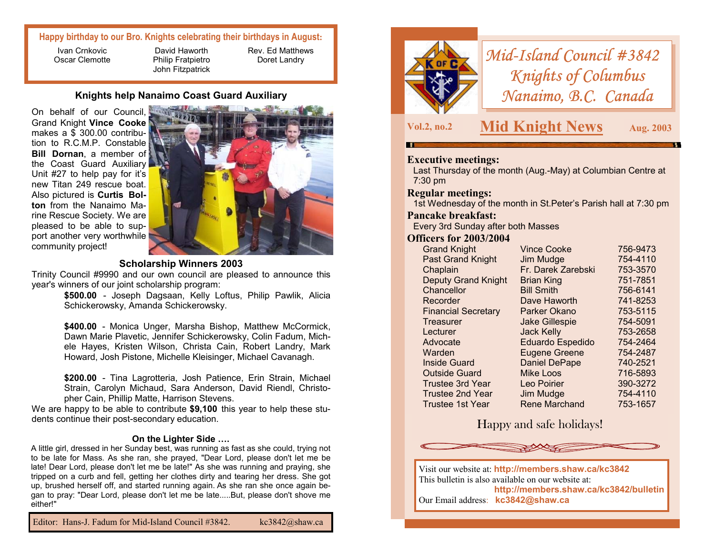## **Happy birthday to our Bro. Knights celebrating their birthdays in August:**

Ivan Crnkovic Oscar Clemotte

David Haworth Philip Fratpietro John Fitzpatrick Rev. Ed Matthews Doret Landry

## **Knights help Nanaimo Coast Guard Auxiliary**

On behalf of our Council, Grand Knight **Vince Cooke** makes a \$ 300.00 contribution to R.C.M.P. Constable **Bill Dornan**, a member of the Coast Guard Auxiliary Unit #27 to help pay for it's new Titan 249 rescue boat. Also pictured is **Curtis Bolton** from the Nanaimo Marine Rescue Society. We are pleased to be able to support another very worthwhile community project!



## **Scholarship Winners 2003**

Trinity Council #9990 and our own council are pleased to announce this year's winners of our joint scholarship program:

**\$500.00** - Joseph Dagsaan, Kelly Loftus, Philip Pawlik, Alicia Schickerowsky, Amanda Schickerowsky.

**\$400.00** - Monica Unger, Marsha Bishop, Matthew McCormick, Dawn Marie Plavetic, Jennifer Schickerowsky, Colin Fadum, Michele Hayes, Kristen Wilson, Christa Cain, Robert Landry, Mark Howard, Josh Pistone, Michelle Kleisinger, Michael Cavanagh.

**\$200.00** - Tina Lagrotteria, Josh Patience, Erin Strain, Michael Strain, Carolyn Michaud, Sara Anderson, David Riendl, Christopher Cain, Phillip Matte, Harrison Stevens.

We are happy to be able to contribute **\$9,100** this year to help these students continue their post-secondary education.

#### **On the Lighter Side ….**

A little girl, dressed in her Sunday best, was running as fast as she could, trying not to be late for Mass. As she ran, she prayed, "Dear Lord, please don't let me be late! Dear Lord, please don't let me be late!" As she was running and praying, she tripped on a curb and fell, getting her clothes dirty and tearing her dress. She got up, brushed herself off, and started running again. As she ran she once again began to pray: "Dear Lord, please don't let me be late.....But, please don't shove me either!"



# *Mid-Island Council #3842 Knights of Columbus Nanaimo, B.C. Canada*

**Vol.2, no.2 Mid Knight News Aug. 2003** 

## **Executive meetings:**

Last Thursday of the month (Aug.-May) at Columbian Centre at 7:30 pm

## **Regular meetings:**

1st Wednesday of the month in St.Peter's Parish hall at 7:30 pm

#### **Pancake breakfast:**

Every 3rd Sunday after both Masses

## **Officers for 2003/2004**

| <b>Grand Knight</b>        | <b>Vince Cooke</b>      | 756-9473 |
|----------------------------|-------------------------|----------|
| <b>Past Grand Knight</b>   | Jim Mudge               | 754-4110 |
| Chaplain                   | Fr. Darek Zarebski      | 753-3570 |
| <b>Deputy Grand Knight</b> | <b>Brian King</b>       | 751-7851 |
| Chancellor                 | <b>Bill Smith</b>       | 756-6141 |
| Recorder                   | Dave Haworth            | 741-8253 |
| <b>Financial Secretary</b> | Parker Okano            | 753-5115 |
| Treasurer                  | <b>Jake Gillespie</b>   | 754-5091 |
| Lecturer                   | <b>Jack Kelly</b>       | 753-2658 |
| Advocate                   | <b>Eduardo Espedido</b> | 754-2464 |
| Warden                     | <b>Eugene Greene</b>    | 754-2487 |
| <b>Inside Guard</b>        | <b>Daniel DePape</b>    | 740-2521 |
| <b>Outside Guard</b>       | <b>Mike Loos</b>        | 716-5893 |
| <b>Trustee 3rd Year</b>    | Leo Poirier             | 390-3272 |
| <b>Trustee 2nd Year</b>    | Jim Mudge               | 754-4110 |
| Trustee 1st Year           | <b>Rene Marchand</b>    | 753-1657 |

# Happy and safe holidays!